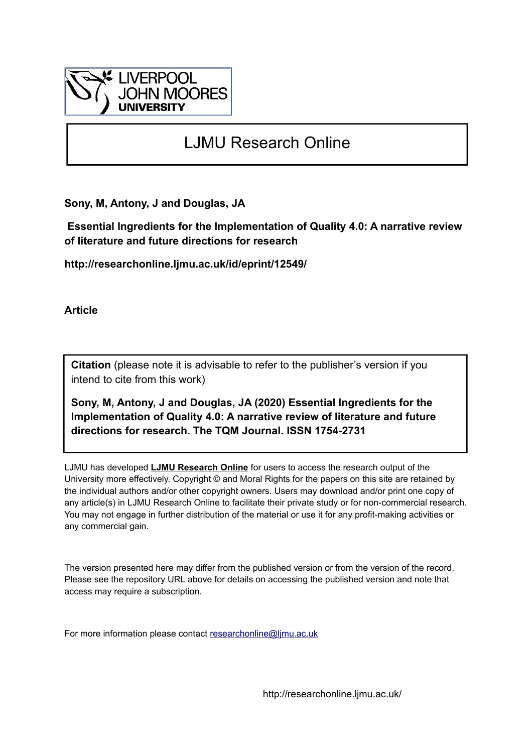

# LJMU Research Online

**Sony, M, Antony, J and Douglas, JA**

 **Essential Ingredients for the Implementation of Quality 4.0: A narrative review of literature and future directions for research**

**http://researchonline.ljmu.ac.uk/id/eprint/12549/**

**Article**

**Citation** (please note it is advisable to refer to the publisher's version if you intend to cite from this work)

**Sony, M, Antony, J and Douglas, JA (2020) Essential Ingredients for the Implementation of Quality 4.0: A narrative review of literature and future directions for research. The TQM Journal. ISSN 1754-2731** 

LJMU has developed **[LJMU Research Online](http://researchonline.ljmu.ac.uk/)** for users to access the research output of the University more effectively. Copyright © and Moral Rights for the papers on this site are retained by the individual authors and/or other copyright owners. Users may download and/or print one copy of any article(s) in LJMU Research Online to facilitate their private study or for non-commercial research. You may not engage in further distribution of the material or use it for any profit-making activities or any commercial gain.

The version presented here may differ from the published version or from the version of the record. Please see the repository URL above for details on accessing the published version and note that access may require a subscription.

For more information please contact [researchonline@ljmu.ac.uk](mailto:researchonline@ljmu.ac.uk)

http://researchonline.ljmu.ac.uk/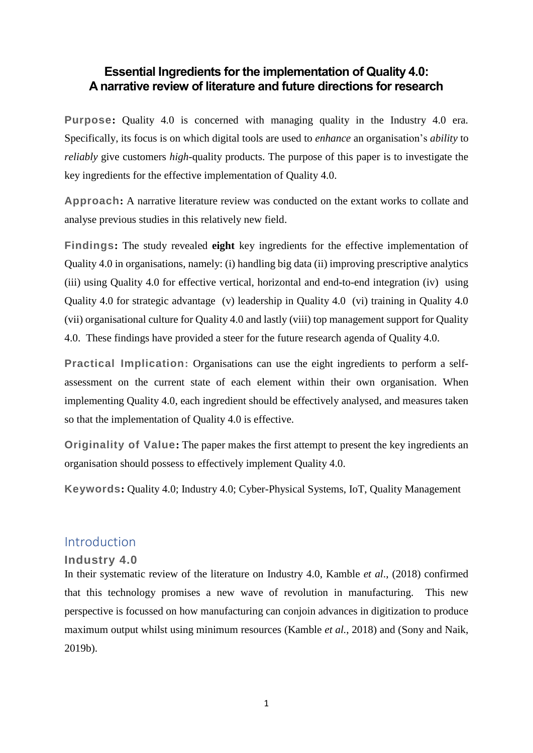# **Essential Ingredients for the implementation of Quality 4.0: A narrative review of literature and future directions for research**

**Purpose:** Quality 4.0 is concerned with managing quality in the Industry 4.0 era. Specifically, its focus is on which digital tools are used to *enhance* an organisation's *ability* to *reliably* give customers *high*-quality products. The purpose of this paper is to investigate the key ingredients for the effective implementation of Quality 4.0.

**Approach:** A narrative literature review was conducted on the extant works to collate and analyse previous studies in this relatively new field.

**Findings:** The study revealed **eight** key ingredients for the effective implementation of Quality 4.0 in organisations, namely: (i) handling big data (ii) improving prescriptive analytics (iii) using Quality 4.0 for effective vertical, horizontal and end-to-end integration (iv) using Quality 4.0 for strategic advantage (v) leadership in Quality 4.0 (vi) training in Quality 4.0 (vii) organisational culture for Quality 4.0 and lastly (viii) top management support for Quality 4.0. These findings have provided a steer for the future research agenda of Quality 4.0.

**Practical Implication:** Organisations can use the eight ingredients to perform a selfassessment on the current state of each element within their own organisation. When implementing Quality 4.0, each ingredient should be effectively analysed, and measures taken so that the implementation of Quality 4.0 is effective.

**Originality of Value:** The paper makes the first attempt to present the key ingredients an organisation should possess to effectively implement Quality 4.0.

**Keywords:** Quality 4.0; Industry 4.0; Cyber-Physical Systems, IoT, Quality Management

# Introduction

# **Industry 4.0**

In their systematic review of the literature on Industry 4.0, Kamble *et al*., (2018) confirmed that this technology promises a new wave of revolution in manufacturing. This new perspective is focussed on how manufacturing can conjoin advances in digitization to produce maximum output whilst using minimum resources (Kamble *et al.*, 2018) and (Sony and Naik, 2019b).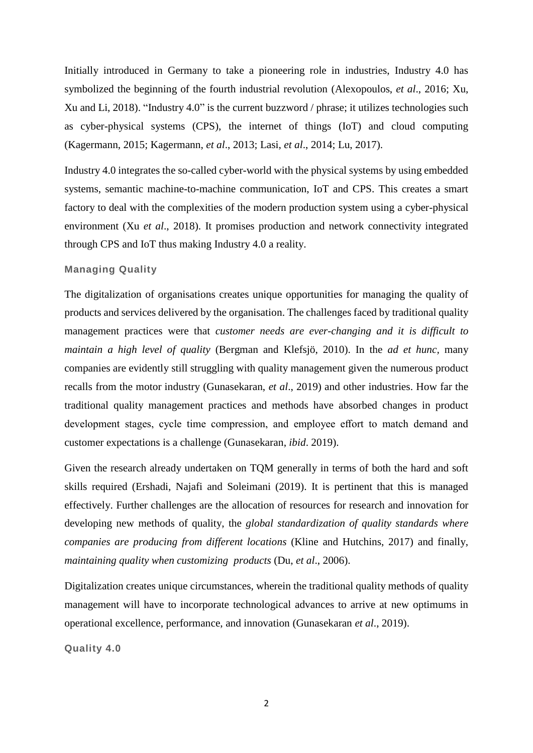Initially introduced in Germany to take a pioneering role in industries, Industry 4.0 has symbolized the beginning of the fourth industrial revolution (Alexopoulos, *et al*., 2016; Xu, Xu and Li, 2018). "Industry 4.0" is the current buzzword / phrase; it utilizes technologies such as cyber-physical systems (CPS), the internet of things (IoT) and cloud computing (Kagermann, 2015; Kagermann, *et al*., 2013; Lasi, *et al*., 2014; Lu, 2017).

Industry 4.0 integrates the so-called cyber-world with the physical systems by using embedded systems, semantic machine-to-machine communication, IoT and CPS. This creates a smart factory to deal with the complexities of the modern production system using a cyber-physical environment (Xu *et al*., 2018). It promises production and network connectivity integrated through CPS and IoT thus making Industry 4.0 a reality.

## **Managing Quality**

The digitalization of organisations creates unique opportunities for managing the quality of products and services delivered by the organisation. The challenges faced by traditional quality management practices were that *customer needs are ever-changing and it is difficult to maintain a high level of quality* (Bergman and Klefsjö, 2010). In the *ad et hunc,* many companies are evidently still struggling with quality management given the numerous product recalls from the motor industry (Gunasekaran, *et al*., 2019) and other industries. How far the traditional quality management practices and methods have absorbed changes in product development stages, cycle time compression, and employee effort to match demand and customer expectations is a challenge (Gunasekaran, *ibid*. 2019).

Given the research already undertaken on TQM generally in terms of both the hard and soft skills required (Ershadi, Najafi and Soleimani (2019). It is pertinent that this is managed effectively. Further challenges are the allocation of resources for research and innovation for developing new methods of quality, the *global standardization of quality standards where companies are producing from different locations* (Kline and Hutchins, 2017) and finally, *maintaining quality when customizing products* (Du, *et al*., 2006).

Digitalization creates unique circumstances, wherein the traditional quality methods of quality management will have to incorporate technological advances to arrive at new optimums in operational excellence, performance, and innovation (Gunasekaran *et al*., 2019).

**Quality 4.0**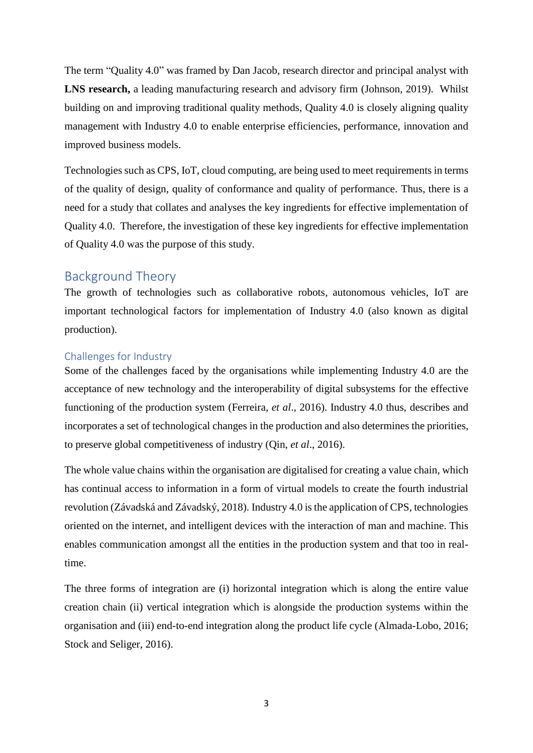The term "Quality 4.0" was framed by Dan Jacob, research director and principal analyst with **LNS research,** a leading manufacturing research and advisory firm (Johnson, 2019). Whilst building on and improving traditional quality methods, Quality 4.0 is closely aligning quality management with Industry 4.0 to enable enterprise efficiencies, performance, innovation and improved business models.

Technologies such as CPS, IoT, cloud computing, are being used to meet requirements in terms of the quality of design, quality of conformance and quality of performance. Thus, there is a need for a study that collates and analyses the key ingredients for effective implementation of Quality 4.0. Therefore, the investigation of these key ingredients for effective implementation of Quality 4.0 was the purpose of this study.

# Background Theory

The growth of technologies such as collaborative robots, autonomous vehicles, IoT are important technological factors for implementation of Industry 4.0 (also known as digital production).

## Challenges for Industry

Some of the challenges faced by the organisations while implementing Industry 4.0 are the acceptance of new technology and the interoperability of digital subsystems for the effective functioning of the production system (Ferreira, *et al*., 2016). Industry 4.0 thus, describes and incorporates a set of technological changes in the production and also determines the priorities, to preserve global competitiveness of industry (Qin, *et al*., 2016).

The whole value chains within the organisation are digitalised for creating a value chain, which has continual access to information in a form of virtual models to create the fourth industrial revolution (Závadská and Závadský, 2018). Industry 4.0 is the application of CPS, technologies oriented on the internet, and intelligent devices with the interaction of man and machine. This enables communication amongst all the entities in the production system and that too in realtime.

The three forms of integration are (i) horizontal integration which is along the entire value creation chain (ii) vertical integration which is alongside the production systems within the organisation and (iii) end-to-end integration along the product life cycle (Almada-Lobo, 2016; Stock and Seliger, 2016).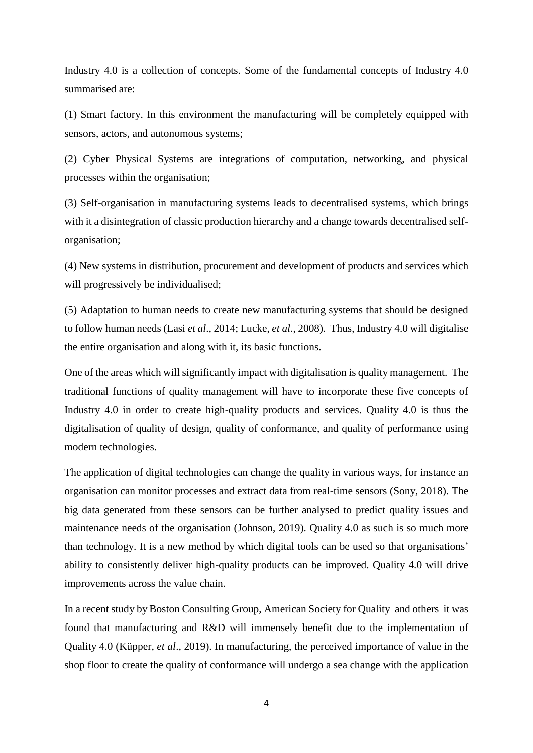Industry 4.0 is a collection of concepts. Some of the fundamental concepts of Industry 4.0 summarised are:

(1) Smart factory. In this environment the manufacturing will be completely equipped with sensors, actors, and autonomous systems;

(2) Cyber Physical Systems are integrations of computation, networking, and physical processes within the organisation;

(3) Self-organisation in manufacturing systems leads to decentralised systems, which brings with it a disintegration of classic production hierarchy and a change towards decentralised selforganisation;

(4) New systems in distribution, procurement and development of products and services which will progressively be individualised;

(5) Adaptation to human needs to create new manufacturing systems that should be designed to follow human needs (Lasi *et al*., 2014; Lucke, *et al*., 2008). Thus, Industry 4.0 will digitalise the entire organisation and along with it, its basic functions.

One of the areas which will significantly impact with digitalisation is quality management. The traditional functions of quality management will have to incorporate these five concepts of Industry 4.0 in order to create high-quality products and services. Quality 4.0 is thus the digitalisation of quality of design, quality of conformance, and quality of performance using modern technologies.

The application of digital technologies can change the quality in various ways, for instance an organisation can monitor processes and extract data from real-time sensors (Sony, 2018). The big data generated from these sensors can be further analysed to predict quality issues and maintenance needs of the organisation (Johnson, 2019). Quality 4.0 as such is so much more than technology. It is a new method by which digital tools can be used so that organisations' ability to consistently deliver high-quality products can be improved. Quality 4.0 will drive improvements across the value chain.

In a recent study byBoston Consulting Group, American Society for Quality and others it was found that manufacturing and R&D will immensely benefit due to the implementation of Quality 4.0 (Küpper, *et al*., 2019). In manufacturing, the perceived importance of value in the shop floor to create the quality of conformance will undergo a sea change with the application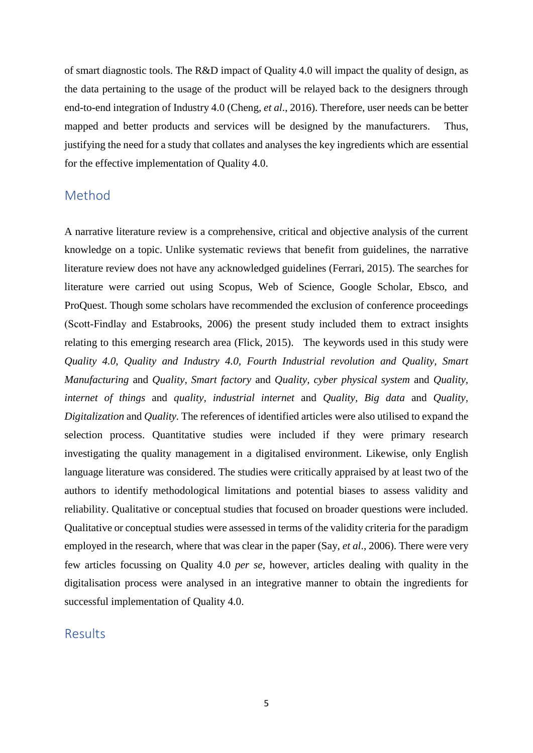of smart diagnostic tools. The R&D impact of Quality 4.0 will impact the quality of design, as the data pertaining to the usage of the product will be relayed back to the designers through end-to-end integration of Industry 4.0 (Cheng, *et al*., 2016). Therefore, user needs can be better mapped and better products and services will be designed by the manufacturers. Thus, justifying the need for a study that collates and analyses the key ingredients which are essential for the effective implementation of Quality 4.0.

# Method

A narrative literature review is a comprehensive, critical and objective analysis of the current knowledge on a topic. Unlike systematic reviews that benefit from guidelines, the narrative literature review does not have any acknowledged guidelines (Ferrari, 2015). The searches for literature were carried out using Scopus, Web of Science, Google Scholar, Ebsco, and ProQuest. Though some scholars have recommended the exclusion of conference proceedings (Scott‐Findlay and Estabrooks, 2006) the present study included them to extract insights relating to this emerging research area (Flick, 2015). The keywords used in this study were *Quality 4.0, Quality and Industry 4.0, Fourth Industrial revolution and Quality, Smart Manufacturing* and *Quality, Smart factory* and *Quality, cyber physical system* and *Quality, internet of things* and *quality, industrial internet* and *Quality, Big data* and *Quality, Digitalization* and *Quality.* The references of identified articles were also utilised to expand the selection process. Quantitative studies were included if they were primary research investigating the quality management in a digitalised environment. Likewise, only English language literature was considered. The studies were critically appraised by at least two of the authors to identify methodological limitations and potential biases to assess validity and reliability. Qualitative or conceptual studies that focused on broader questions were included. Qualitative or conceptual studies were assessed in terms of the validity criteria for the paradigm employed in the research, where that was clear in the paper (Say, *et al*., 2006). There were very few articles focussing on Quality 4.0 *per se*, however, articles dealing with quality in the digitalisation process were analysed in an integrative manner to obtain the ingredients for successful implementation of Quality 4.0.

# Results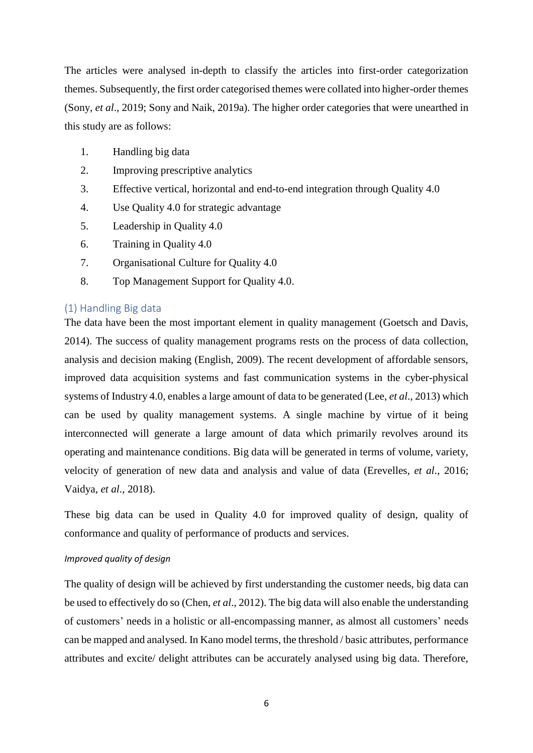The articles were analysed in-depth to classify the articles into first-order categorization themes. Subsequently, the first order categorised themes were collated into higher-order themes (Sony, *et al*., 2019; Sony and Naik, 2019a). The higher order categories that were unearthed in this study are as follows:

- 1. Handling big data
- 2. Improving prescriptive analytics
- 3. Effective vertical, horizontal and end-to-end integration through Quality 4.0
- 4. Use Quality 4.0 for strategic advantage
- 5. Leadership in Quality 4.0
- 6. Training in Quality 4.0
- 7. Organisational Culture for Quality 4.0
- 8. Top Management Support for Quality 4.0.

## (1) Handling Big data

The data have been the most important element in quality management (Goetsch and Davis, 2014). The success of quality management programs rests on the process of data collection, analysis and decision making (English, 2009). The recent development of affordable sensors, improved data acquisition systems and fast communication systems in the cyber-physical systems of Industry 4.0, enables a large amount of data to be generated (Lee, *et al*., 2013) which can be used by quality management systems. A single machine by virtue of it being interconnected will generate a large amount of data which primarily revolves around its operating and maintenance conditions. Big data will be generated in terms of volume, variety, velocity of generation of new data and analysis and value of data (Erevelles, *et al*., 2016; Vaidya, *et al*., 2018).

These big data can be used in Quality 4.0 for improved quality of design, quality of conformance and quality of performance of products and services.

#### *Improved quality of design*

The quality of design will be achieved by first understanding the customer needs, big data can be used to effectively do so (Chen, *et al*., 2012). The big data will also enable the understanding of customers' needs in a holistic or all-encompassing manner, as almost all customers' needs can be mapped and analysed. In Kano model terms, the threshold / basic attributes, performance attributes and excite/ delight attributes can be accurately analysed using big data. Therefore,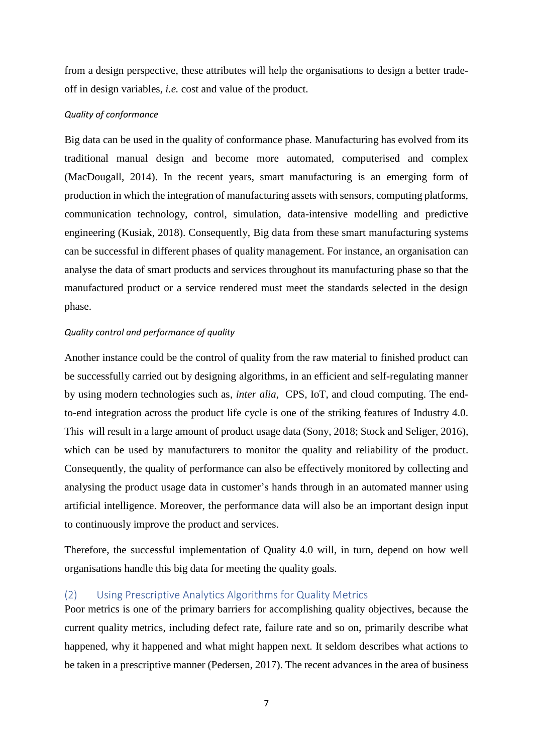from a design perspective, these attributes will help the organisations to design a better tradeoff in design variables, *i.e.* cost and value of the product.

#### *Quality of conformance*

Big data can be used in the quality of conformance phase. Manufacturing has evolved from its traditional manual design and become more automated, computerised and complex (MacDougall, 2014). In the recent years, smart manufacturing is an emerging form of production in which the integration of manufacturing assets with sensors, computing platforms, communication technology, control, simulation, data-intensive modelling and predictive engineering (Kusiak, 2018). Consequently, Big data from these smart manufacturing systems can be successful in different phases of quality management. For instance, an organisation can analyse the data of smart products and services throughout its manufacturing phase so that the manufactured product or a service rendered must meet the standards selected in the design phase.

#### *Quality control and performance of quality*

Another instance could be the control of quality from the raw material to finished product can be successfully carried out by designing algorithms, in an efficient and self-regulating manner by using modern technologies such as, *inter alia*, CPS, IoT, and cloud computing. The endto-end integration across the product life cycle is one of the striking features of Industry 4.0. This will result in a large amount of product usage data (Sony, 2018; Stock and Seliger, 2016), which can be used by manufacturers to monitor the quality and reliability of the product. Consequently, the quality of performance can also be effectively monitored by collecting and analysing the product usage data in customer's hands through in an automated manner using artificial intelligence. Moreover, the performance data will also be an important design input to continuously improve the product and services.

Therefore, the successful implementation of Quality 4.0 will, in turn, depend on how well organisations handle this big data for meeting the quality goals.

## (2) Using Prescriptive Analytics Algorithms for Quality Metrics

Poor metrics is one of the primary barriers for accomplishing quality objectives, because the current quality metrics, including defect rate, failure rate and so on, primarily describe what happened, why it happened and what might happen next. It seldom describes what actions to be taken in a prescriptive manner (Pedersen, 2017). The recent advances in the area of business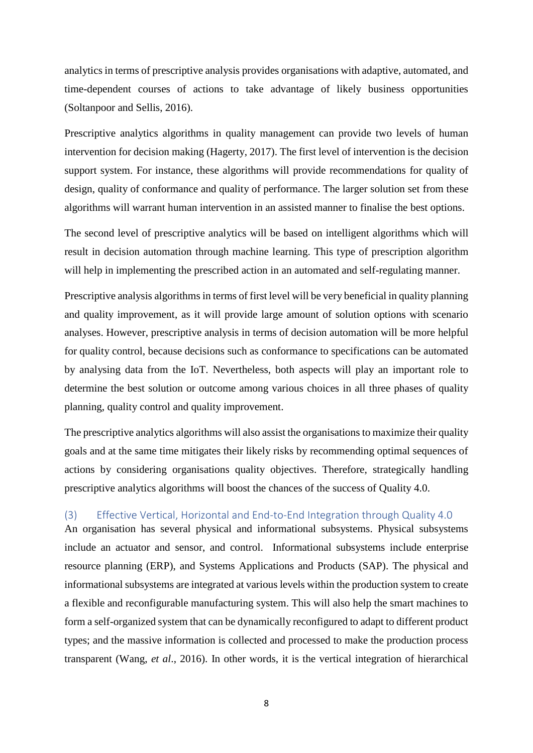analytics in terms of prescriptive analysis provides organisations with adaptive, automated, and time-dependent courses of actions to take advantage of likely business opportunities (Soltanpoor and Sellis, 2016).

Prescriptive analytics algorithms in quality management can provide two levels of human intervention for decision making (Hagerty, 2017). The first level of intervention is the decision support system. For instance, these algorithms will provide recommendations for quality of design, quality of conformance and quality of performance. The larger solution set from these algorithms will warrant human intervention in an assisted manner to finalise the best options.

The second level of prescriptive analytics will be based on intelligent algorithms which will result in decision automation through machine learning. This type of prescription algorithm will help in implementing the prescribed action in an automated and self-regulating manner.

Prescriptive analysis algorithms in terms of first level will be very beneficial in quality planning and quality improvement, as it will provide large amount of solution options with scenario analyses. However, prescriptive analysis in terms of decision automation will be more helpful for quality control, because decisions such as conformance to specifications can be automated by analysing data from the IoT. Nevertheless, both aspects will play an important role to determine the best solution or outcome among various choices in all three phases of quality planning, quality control and quality improvement.

The prescriptive analytics algorithms will also assist the organisations to maximize their quality goals and at the same time mitigates their likely risks by recommending optimal sequences of actions by considering organisations quality objectives. Therefore, strategically handling prescriptive analytics algorithms will boost the chances of the success of Quality 4.0.

# (3) Effective Vertical, Horizontal and End-to-End Integration through Quality 4.0

An organisation has several physical and informational subsystems. Physical subsystems include an actuator and sensor, and control. Informational subsystems include enterprise resource planning (ERP), and Systems Applications and Products (SAP). The physical and informational subsystems are integrated at various levels within the production system to create a flexible and reconfigurable manufacturing system. This will also help the smart machines to form a self-organized system that can be dynamically reconfigured to adapt to different product types; and the massive information is collected and processed to make the production process transparent (Wang, *et al*., 2016). In other words, it is the vertical integration of hierarchical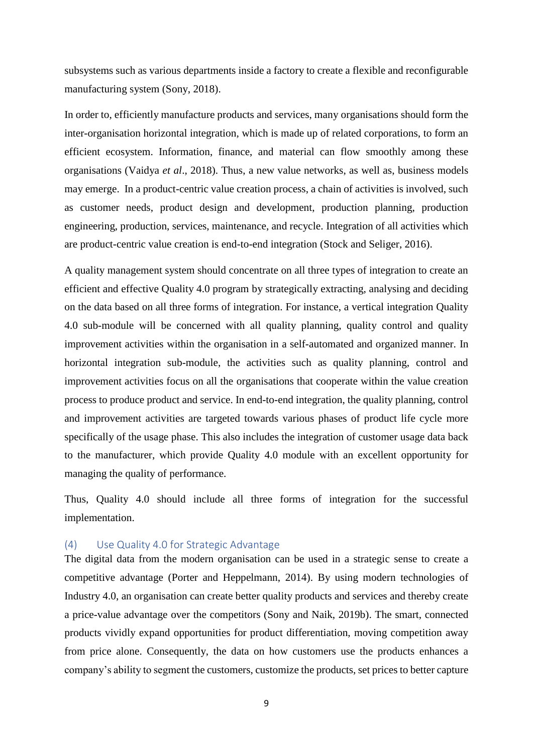subsystems such as various departments inside a factory to create a flexible and reconfigurable manufacturing system (Sony, 2018).

In order to, efficiently manufacture products and services, many organisations should form the inter-organisation horizontal integration, which is made up of related corporations, to form an efficient ecosystem. Information, finance, and material can flow smoothly among these organisations (Vaidya *et al*., 2018). Thus, a new value networks, as well as, business models may emerge. In a product-centric value creation process, a chain of activities is involved, such as customer needs, product design and development, production planning, production engineering, production, services, maintenance, and recycle. Integration of all activities which are product-centric value creation is end-to-end integration (Stock and Seliger, 2016).

A quality management system should concentrate on all three types of integration to create an efficient and effective Quality 4.0 program by strategically extracting, analysing and deciding on the data based on all three forms of integration. For instance, a vertical integration Quality 4.0 sub-module will be concerned with all quality planning, quality control and quality improvement activities within the organisation in a self-automated and organized manner. In horizontal integration sub-module, the activities such as quality planning, control and improvement activities focus on all the organisations that cooperate within the value creation process to produce product and service. In end-to-end integration, the quality planning, control and improvement activities are targeted towards various phases of product life cycle more specifically of the usage phase. This also includes the integration of customer usage data back to the manufacturer, which provide Quality 4.0 module with an excellent opportunity for managing the quality of performance.

Thus, Quality 4.0 should include all three forms of integration for the successful implementation.

## (4) Use Quality 4.0 for Strategic Advantage

The digital data from the modern organisation can be used in a strategic sense to create a competitive advantage (Porter and Heppelmann, 2014). By using modern technologies of Industry 4.0, an organisation can create better quality products and services and thereby create a price-value advantage over the competitors (Sony and Naik, 2019b). The smart, connected products vividly expand opportunities for product differentiation, moving competition away from price alone. Consequently, the data on how customers use the products enhances a company's ability to segment the customers, customize the products, set prices to better capture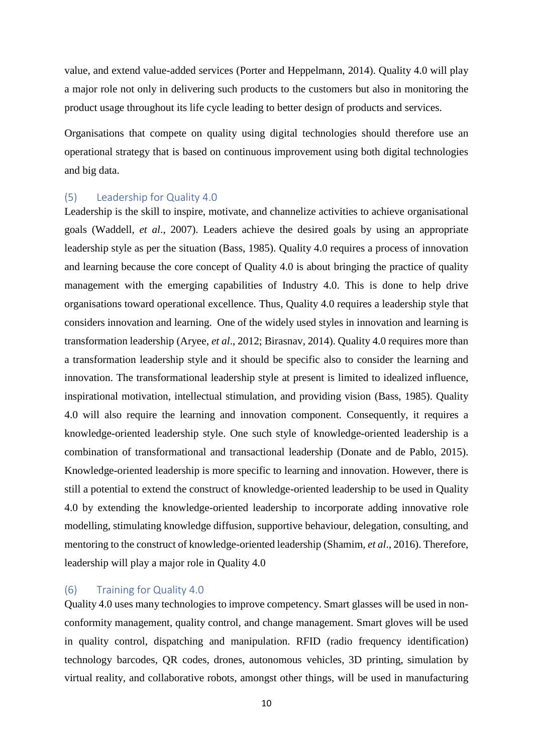value, and extend value-added services (Porter and Heppelmann, 2014). Quality 4.0 will play a major role not only in delivering such products to the customers but also in monitoring the product usage throughout its life cycle leading to better design of products and services.

Organisations that compete on quality using digital technologies should therefore use an operational strategy that is based on continuous improvement using both digital technologies and big data.

## (5) Leadership for Quality 4.0

Leadership is the skill to inspire, motivate, and channelize activities to achieve organisational goals (Waddell, *et al*., 2007). Leaders achieve the desired goals by using an appropriate leadership style as per the situation (Bass, 1985). Quality 4.0 requires a process of innovation and learning because the core concept of Quality 4.0 is about bringing the practice of quality management with the emerging capabilities of Industry 4.0. This is done to help drive organisations toward operational excellence. Thus, Quality 4.0 requires a leadership style that considers innovation and learning. One of the widely used styles in innovation and learning is transformation leadership (Aryee, *et al*., 2012; Birasnav, 2014). Quality 4.0 requires more than a transformation leadership style and it should be specific also to consider the learning and innovation. The transformational leadership style at present is limited to idealized influence, inspirational motivation, intellectual stimulation, and providing vision (Bass, 1985). Quality 4.0 will also require the learning and innovation component. Consequently, it requires a knowledge-oriented leadership style. One such style of knowledge-oriented leadership is a combination of transformational and transactional leadership (Donate and de Pablo, 2015). Knowledge-oriented leadership is more specific to learning and innovation. However, there is still a potential to extend the construct of knowledge-oriented leadership to be used in Quality 4.0 by extending the knowledge-oriented leadership to incorporate adding innovative role modelling, stimulating knowledge diffusion, supportive behaviour, delegation, consulting, and mentoring to the construct of knowledge-oriented leadership (Shamim, *et al*., 2016). Therefore, leadership will play a major role in Quality 4.0

#### (6) Training for Quality 4.0

Quality 4.0 uses many technologies to improve competency. Smart glasses will be used in nonconformity management, quality control, and change management. Smart gloves will be used in quality control, dispatching and manipulation. RFID (radio frequency identification) technology barcodes, QR codes, drones, autonomous vehicles, 3D printing, simulation by virtual reality, and collaborative robots, amongst other things, will be used in manufacturing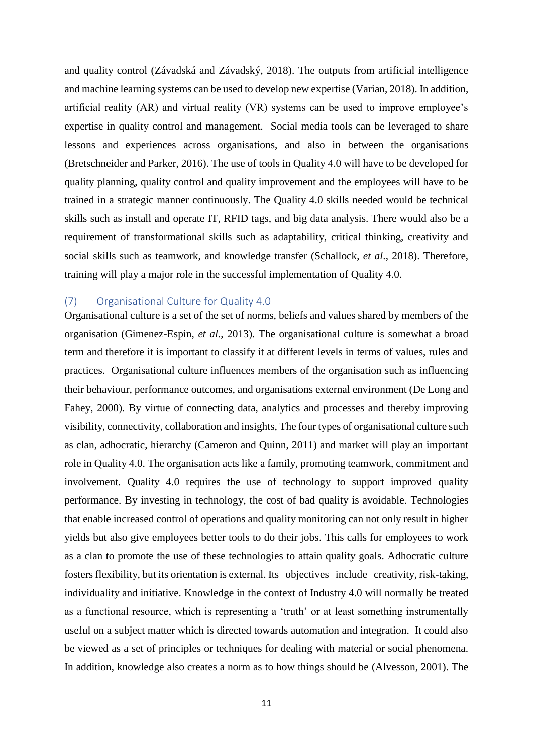and quality control (Závadská and Závadský, 2018). The outputs from artificial intelligence and machine learning systems can be used to develop new expertise (Varian, 2018). In addition, artificial reality (AR) and virtual reality (VR) systems can be used to improve employee's expertise in quality control and management. Social media tools can be leveraged to share lessons and experiences across organisations, and also in between the organisations (Bretschneider and Parker, 2016). The use of tools in Quality 4.0 will have to be developed for quality planning, quality control and quality improvement and the employees will have to be trained in a strategic manner continuously. The Quality 4.0 skills needed would be technical skills such as install and operate IT, RFID tags, and big data analysis. There would also be a requirement of transformational skills such as adaptability, critical thinking, creativity and social skills such as teamwork, and knowledge transfer (Schallock, *et al*., 2018). Therefore, training will play a major role in the successful implementation of Quality 4.0.

## (7) Organisational Culture for Quality 4.0

Organisational culture is a set of the set of norms, beliefs and values shared by members of the organisation (Gimenez-Espin, *et al*., 2013). The organisational culture is somewhat a broad term and therefore it is important to classify it at different levels in terms of values, rules and practices. Organisational culture influences members of the organisation such as influencing their behaviour, performance outcomes, and organisations external environment (De Long and Fahey, 2000). By virtue of connecting data, analytics and processes and thereby improving visibility, connectivity, collaboration and insights, The four types of organisational culture such as clan, adhocratic, hierarchy (Cameron and Quinn, 2011) and market will play an important role in Quality 4.0. The organisation acts like a family, promoting teamwork, commitment and involvement. Quality 4.0 requires the use of technology to support improved quality performance. By investing in technology, the cost of bad quality is avoidable. Technologies that enable increased control of operations and quality monitoring can not only result in higher yields but also give employees better tools to do their jobs. This calls for employees to work as a clan to promote the use of these technologies to attain quality goals. Adhocratic culture fosters flexibility, but its orientation is external. Its objectives include creativity, risk-taking, individuality and initiative. Knowledge in the context of Industry 4.0 will normally be treated as a functional resource, which is representing a 'truth' or at least something instrumentally useful on a subject matter which is directed towards automation and integration. It could also be viewed as a set of principles or techniques for dealing with material or social phenomena. In addition, knowledge also creates a norm as to how things should be (Alvesson, 2001). The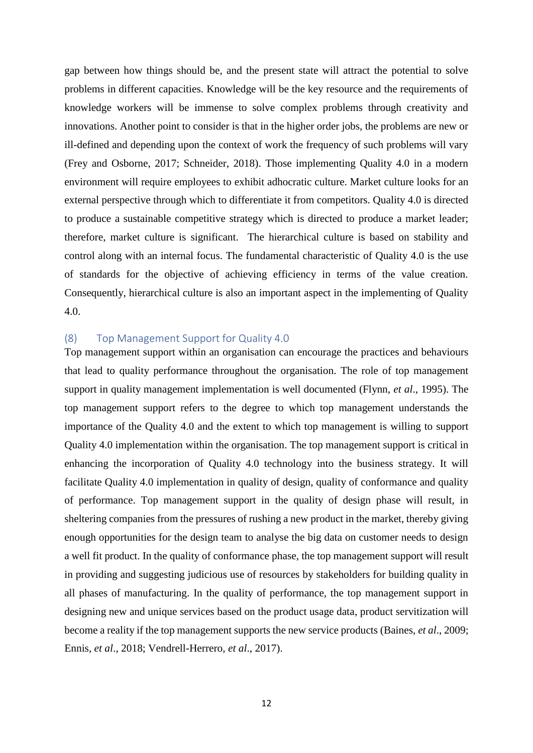gap between how things should be, and the present state will attract the potential to solve problems in different capacities. Knowledge will be the key resource and the requirements of knowledge workers will be immense to solve complex problems through creativity and innovations. Another point to consider is that in the higher order jobs, the problems are new or ill-defined and depending upon the context of work the frequency of such problems will vary (Frey and Osborne, 2017; Schneider, 2018). Those implementing Quality 4.0 in a modern environment will require employees to exhibit adhocratic culture. Market culture looks for an external perspective through which to differentiate it from competitors. Quality 4.0 is directed to produce a sustainable competitive strategy which is directed to produce a market leader; therefore, market culture is significant. The hierarchical culture is based on stability and control along with an internal focus. The fundamental characteristic of Quality 4.0 is the use of standards for the objective of achieving efficiency in terms of the value creation. Consequently, hierarchical culture is also an important aspect in the implementing of Quality 4.0.

## (8) Top Management Support for Quality 4.0

Top management support within an organisation can encourage the practices and behaviours that lead to quality performance throughout the organisation. The role of top management support in quality management implementation is well documented (Flynn, *et al*., 1995). The top management support refers to the degree to which top management understands the importance of the Quality 4.0 and the extent to which top management is willing to support Quality 4.0 implementation within the organisation. The top management support is critical in enhancing the incorporation of Quality 4.0 technology into the business strategy. It will facilitate Quality 4.0 implementation in quality of design, quality of conformance and quality of performance. Top management support in the quality of design phase will result, in sheltering companies from the pressures of rushing a new product in the market, thereby giving enough opportunities for the design team to analyse the big data on customer needs to design a well fit product. In the quality of conformance phase, the top management support will result in providing and suggesting judicious use of resources by stakeholders for building quality in all phases of manufacturing. In the quality of performance, the top management support in designing new and unique services based on the product usage data, product servitization will become a reality if the top management supports the new service products (Baines, *et al*., 2009; Ennis, *et al*., 2018; Vendrell-Herrero, *et al*., 2017).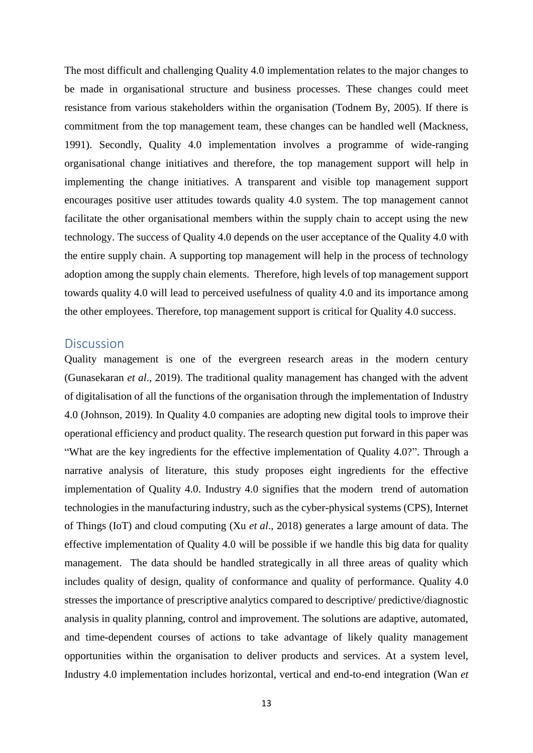The most difficult and challenging Quality 4.0 implementation relates to the major changes to be made in organisational structure and business processes. These changes could meet resistance from various stakeholders within the organisation (Todnem By, 2005). If there is commitment from the top management team, these changes can be handled well (Mackness, 1991). Secondly, Quality 4.0 implementation involves a programme of wide-ranging organisational change initiatives and therefore, the top management support will help in implementing the change initiatives. A transparent and visible top management support encourages positive user attitudes towards quality 4.0 system. The top management cannot facilitate the other organisational members within the supply chain to accept using the new technology. The success of Quality 4.0 depends on the user acceptance of the Quality 4.0 with the entire supply chain. A supporting top management will help in the process of technology adoption among the supply chain elements. Therefore, high levels of top management support towards quality 4.0 will lead to perceived usefulness of quality 4.0 and its importance among the other employees. Therefore, top management support is critical for Quality 4.0 success.

# **Discussion**

Quality management is one of the evergreen research areas in the modern century (Gunasekaran *et al*., 2019). The traditional quality management has changed with the advent of digitalisation of all the functions of the organisation through the implementation of Industry 4.0 (Johnson, 2019). In Quality 4.0 companies are adopting new digital tools to improve their operational efficiency and product quality. The research question put forward in this paper was "What are the key ingredients for the effective implementation of Quality 4.0?". Through a narrative analysis of literature, this study proposes eight ingredients for the effective implementation of Quality 4.0. Industry 4.0 signifies that the modern trend of automation technologies in the manufacturing industry, such as the cyber-physical systems (CPS), Internet of Things (IoT) and cloud computing (Xu *et al*., 2018) generates a large amount of data. The effective implementation of Quality 4.0 will be possible if we handle this big data for quality management. The data should be handled strategically in all three areas of quality which includes quality of design, quality of conformance and quality of performance. Quality 4.0 stresses the importance of prescriptive analytics compared to descriptive/ predictive/diagnostic analysis in quality planning, control and improvement. The solutions are adaptive, automated, and time-dependent courses of actions to take advantage of likely quality management opportunities within the organisation to deliver products and services. At a system level, Industry 4.0 implementation includes horizontal, vertical and end-to-end integration (Wan *et*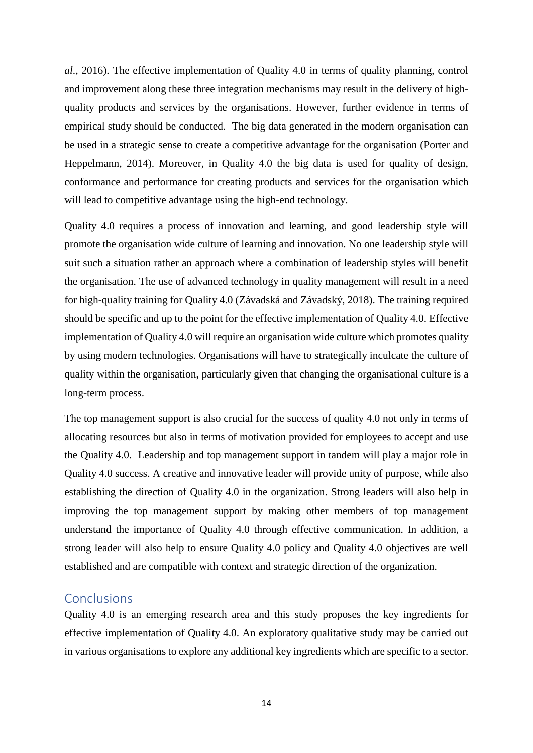*al*., 2016). The effective implementation of Quality 4.0 in terms of quality planning, control and improvement along these three integration mechanisms may result in the delivery of highquality products and services by the organisations. However, further evidence in terms of empirical study should be conducted. The big data generated in the modern organisation can be used in a strategic sense to create a competitive advantage for the organisation (Porter and Heppelmann, 2014). Moreover, in Quality 4.0 the big data is used for quality of design, conformance and performance for creating products and services for the organisation which will lead to competitive advantage using the high-end technology.

Quality 4.0 requires a process of innovation and learning, and good leadership style will promote the organisation wide culture of learning and innovation. No one leadership style will suit such a situation rather an approach where a combination of leadership styles will benefit the organisation. The use of advanced technology in quality management will result in a need for high-quality training for Quality 4.0 (Závadská and Závadský, 2018). The training required should be specific and up to the point for the effective implementation of Quality 4.0. Effective implementation of Quality 4.0 will require an organisation wide culture which promotes quality by using modern technologies. Organisations will have to strategically inculcate the culture of quality within the organisation, particularly given that changing the organisational culture is a long-term process.

The top management support is also crucial for the success of quality 4.0 not only in terms of allocating resources but also in terms of motivation provided for employees to accept and use the Quality 4.0. Leadership and top management support in tandem will play a major role in Quality 4.0 success. A creative and innovative leader will provide unity of purpose, while also establishing the direction of Quality 4.0 in the organization. Strong leaders will also help in improving the top management support by making other members of top management understand the importance of Quality 4.0 through effective communication. In addition, a strong leader will also help to ensure Quality 4.0 policy and Quality 4.0 objectives are well established and are compatible with context and strategic direction of the organization.

# **Conclusions**

Quality 4.0 is an emerging research area and this study proposes the key ingredients for effective implementation of Quality 4.0. An exploratory qualitative study may be carried out in various organisations to explore any additional key ingredients which are specific to a sector.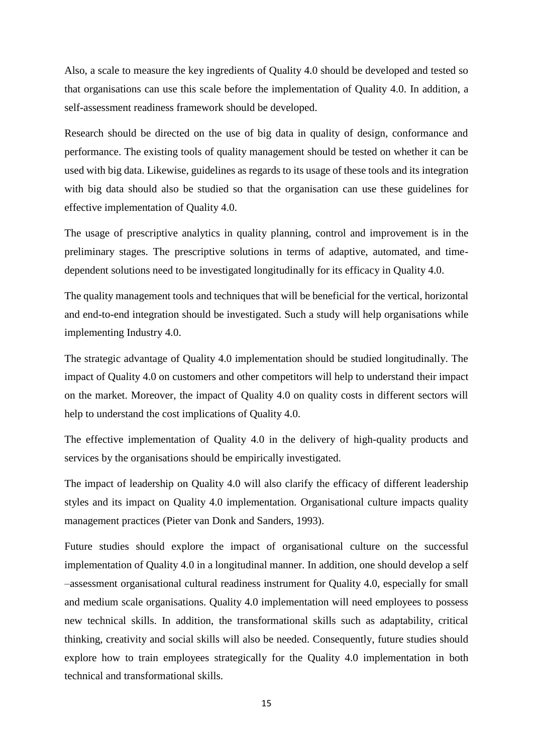Also, a scale to measure the key ingredients of Quality 4.0 should be developed and tested so that organisations can use this scale before the implementation of Quality 4.0. In addition, a self-assessment readiness framework should be developed.

Research should be directed on the use of big data in quality of design, conformance and performance. The existing tools of quality management should be tested on whether it can be used with big data. Likewise, guidelines as regards to its usage of these tools and its integration with big data should also be studied so that the organisation can use these guidelines for effective implementation of Quality 4.0.

The usage of prescriptive analytics in quality planning, control and improvement is in the preliminary stages. The prescriptive solutions in terms of adaptive, automated, and timedependent solutions need to be investigated longitudinally for its efficacy in Quality 4.0.

The quality management tools and techniques that will be beneficial for the vertical, horizontal and end-to-end integration should be investigated. Such a study will help organisations while implementing Industry 4.0.

The strategic advantage of Quality 4.0 implementation should be studied longitudinally. The impact of Quality 4.0 on customers and other competitors will help to understand their impact on the market. Moreover, the impact of Quality 4.0 on quality costs in different sectors will help to understand the cost implications of Quality 4.0.

The effective implementation of Quality 4.0 in the delivery of high-quality products and services by the organisations should be empirically investigated.

The impact of leadership on Quality 4.0 will also clarify the efficacy of different leadership styles and its impact on Quality 4.0 implementation. Organisational culture impacts quality management practices (Pieter van Donk and Sanders, 1993).

Future studies should explore the impact of organisational culture on the successful implementation of Quality 4.0 in a longitudinal manner. In addition, one should develop a self –assessment organisational cultural readiness instrument for Quality 4.0, especially for small and medium scale organisations. Quality 4.0 implementation will need employees to possess new technical skills. In addition, the transformational skills such as adaptability, critical thinking, creativity and social skills will also be needed. Consequently, future studies should explore how to train employees strategically for the Quality 4.0 implementation in both technical and transformational skills.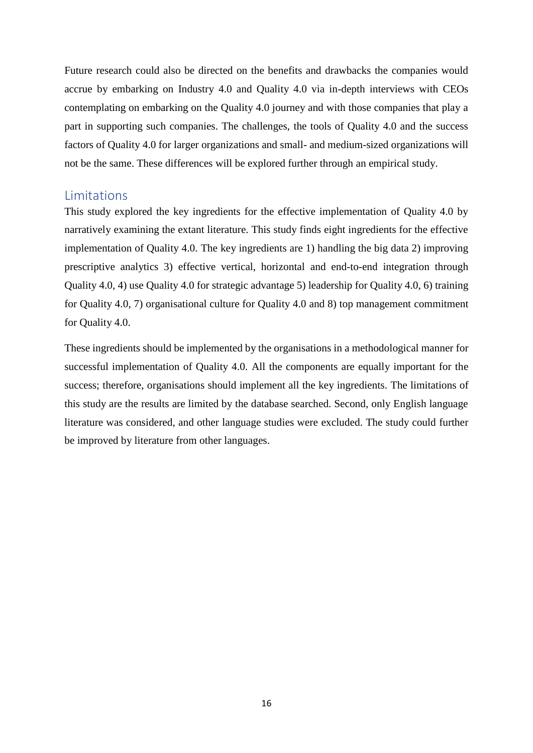Future research could also be directed on the benefits and drawbacks the companies would accrue by embarking on Industry 4.0 and Quality 4.0 via in-depth interviews with CEOs contemplating on embarking on the Quality 4.0 journey and with those companies that play a part in supporting such companies. The challenges, the tools of Quality 4.0 and the success factors of Quality 4.0 for larger organizations and small- and medium-sized organizations will not be the same. These differences will be explored further through an empirical study.

# **Limitations**

This study explored the key ingredients for the effective implementation of Quality 4.0 by narratively examining the extant literature. This study finds eight ingredients for the effective implementation of Quality 4.0. The key ingredients are 1) handling the big data 2) improving prescriptive analytics 3) effective vertical, horizontal and end-to-end integration through Quality 4.0, 4) use Quality 4.0 for strategic advantage 5) leadership for Quality 4.0, 6) training for Quality 4.0, 7) organisational culture for Quality 4.0 and 8) top management commitment for Quality 4.0.

These ingredients should be implemented by the organisations in a methodological manner for successful implementation of Quality 4.0. All the components are equally important for the success; therefore, organisations should implement all the key ingredients. The limitations of this study are the results are limited by the database searched. Second, only English language literature was considered, and other language studies were excluded. The study could further be improved by literature from other languages.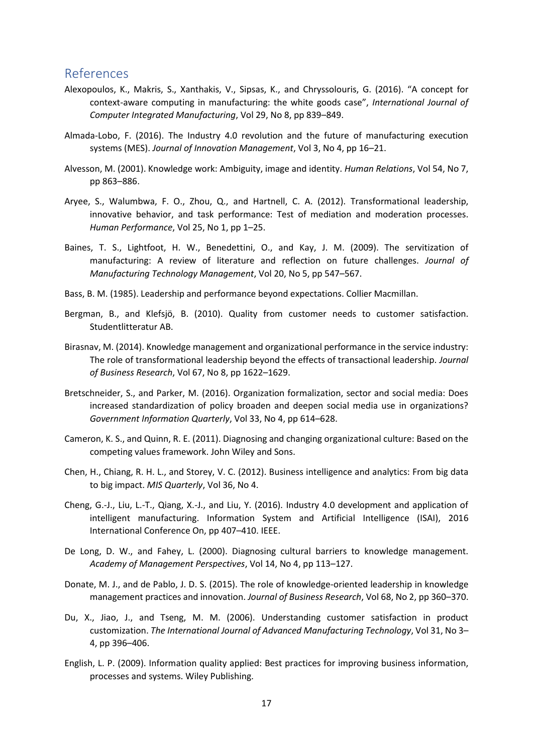# References

- Alexopoulos, K., Makris, S., Xanthakis, V., Sipsas, K., and Chryssolouris, G. (2016). "A concept for context-aware computing in manufacturing: the white goods case", *International Journal of Computer Integrated Manufacturing*, Vol 29, No 8, pp 839–849.
- Almada-Lobo, F. (2016). The Industry 4.0 revolution and the future of manufacturing execution systems (MES). *Journal of Innovation Management*, Vol 3, No 4, pp 16–21.
- Alvesson, M. (2001). Knowledge work: Ambiguity, image and identity. *Human Relations*, Vol 54, No 7, pp 863–886.
- Aryee, S., Walumbwa, F. O., Zhou, Q., and Hartnell, C. A. (2012). Transformational leadership, innovative behavior, and task performance: Test of mediation and moderation processes. *Human Performance*, Vol 25, No 1, pp 1–25.
- Baines, T. S., Lightfoot, H. W., Benedettini, O., and Kay, J. M. (2009). The servitization of manufacturing: A review of literature and reflection on future challenges. *Journal of Manufacturing Technology Management*, Vol 20, No 5, pp 547–567.
- Bass, B. M. (1985). Leadership and performance beyond expectations. Collier Macmillan.
- Bergman, B., and Klefsjö, B. (2010). Quality from customer needs to customer satisfaction. Studentlitteratur AB.
- Birasnav, M. (2014). Knowledge management and organizational performance in the service industry: The role of transformational leadership beyond the effects of transactional leadership. *Journal of Business Research*, Vol 67, No 8, pp 1622–1629.
- Bretschneider, S., and Parker, M. (2016). Organization formalization, sector and social media: Does increased standardization of policy broaden and deepen social media use in organizations? *Government Information Quarterly*, Vol 33, No 4, pp 614–628.
- Cameron, K. S., and Quinn, R. E. (2011). Diagnosing and changing organizational culture: Based on the competing values framework. John Wiley and Sons.
- Chen, H., Chiang, R. H. L., and Storey, V. C. (2012). Business intelligence and analytics: From big data to big impact. *MIS Quarterly*, Vol 36, No 4.
- Cheng, G.-J., Liu, L.-T., Qiang, X.-J., and Liu, Y. (2016). Industry 4.0 development and application of intelligent manufacturing. Information System and Artificial Intelligence (ISAI), 2016 International Conference On, pp 407–410. IEEE.
- De Long, D. W., and Fahey, L. (2000). Diagnosing cultural barriers to knowledge management. *Academy of Management Perspectives*, Vol 14, No 4, pp 113–127.
- Donate, M. J., and de Pablo, J. D. S. (2015). The role of knowledge-oriented leadership in knowledge management practices and innovation. *Journal of Business Research*, Vol 68, No 2, pp 360–370.
- Du, X., Jiao, J., and Tseng, M. M. (2006). Understanding customer satisfaction in product customization. *The International Journal of Advanced Manufacturing Technology*, Vol 31, No 3– 4, pp 396–406.
- English, L. P. (2009). Information quality applied: Best practices for improving business information, processes and systems. Wiley Publishing.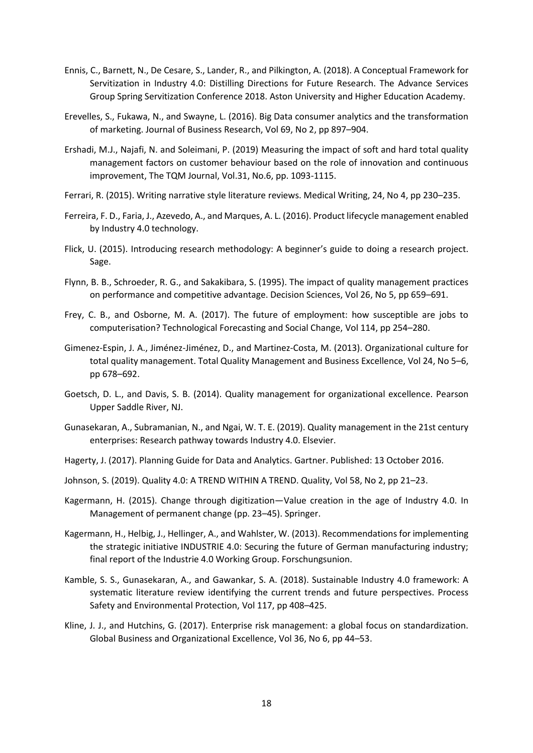- Ennis, C., Barnett, N., De Cesare, S., Lander, R., and Pilkington, A. (2018). A Conceptual Framework for Servitization in Industry 4.0: Distilling Directions for Future Research. The Advance Services Group Spring Servitization Conference 2018. Aston University and Higher Education Academy.
- Erevelles, S., Fukawa, N., and Swayne, L. (2016). Big Data consumer analytics and the transformation of marketing. Journal of Business Research, Vol 69, No 2, pp 897–904.
- Ershadi, M.J., Najafi, N. and Soleimani, P. (2019) Measuring the impact of soft and hard total quality management factors on customer behaviour based on the role of innovation and continuous improvement, The TQM Journal, Vol.31, No.6, pp. 1093-1115.
- Ferrari, R. (2015). Writing narrative style literature reviews. Medical Writing, 24, No 4, pp 230–235.
- Ferreira, F. D., Faria, J., Azevedo, A., and Marques, A. L. (2016). Product lifecycle management enabled by Industry 4.0 technology.
- Flick, U. (2015). Introducing research methodology: A beginner's guide to doing a research project. Sage.
- Flynn, B. B., Schroeder, R. G., and Sakakibara, S. (1995). The impact of quality management practices on performance and competitive advantage. Decision Sciences, Vol 26, No 5, pp 659–691.
- Frey, C. B., and Osborne, M. A. (2017). The future of employment: how susceptible are jobs to computerisation? Technological Forecasting and Social Change, Vol 114, pp 254–280.
- Gimenez-Espin, J. A., Jiménez-Jiménez, D., and Martinez-Costa, M. (2013). Organizational culture for total quality management. Total Quality Management and Business Excellence, Vol 24, No 5–6, pp 678–692.
- Goetsch, D. L., and Davis, S. B. (2014). Quality management for organizational excellence. Pearson Upper Saddle River, NJ.
- Gunasekaran, A., Subramanian, N., and Ngai, W. T. E. (2019). Quality management in the 21st century enterprises: Research pathway towards Industry 4.0. Elsevier.
- Hagerty, J. (2017). Planning Guide for Data and Analytics. Gartner. Published: 13 October 2016.
- Johnson, S. (2019). Quality 4.0: A TREND WITHIN A TREND. Quality, Vol 58, No 2, pp 21–23.
- Kagermann, H. (2015). Change through digitization—Value creation in the age of Industry 4.0. In Management of permanent change (pp. 23–45). Springer.
- Kagermann, H., Helbig, J., Hellinger, A., and Wahlster, W. (2013). Recommendations for implementing the strategic initiative INDUSTRIE 4.0: Securing the future of German manufacturing industry; final report of the Industrie 4.0 Working Group. Forschungsunion.
- Kamble, S. S., Gunasekaran, A., and Gawankar, S. A. (2018). Sustainable Industry 4.0 framework: A systematic literature review identifying the current trends and future perspectives. Process Safety and Environmental Protection, Vol 117, pp 408–425.
- Kline, J. J., and Hutchins, G. (2017). Enterprise risk management: a global focus on standardization. Global Business and Organizational Excellence, Vol 36, No 6, pp 44–53.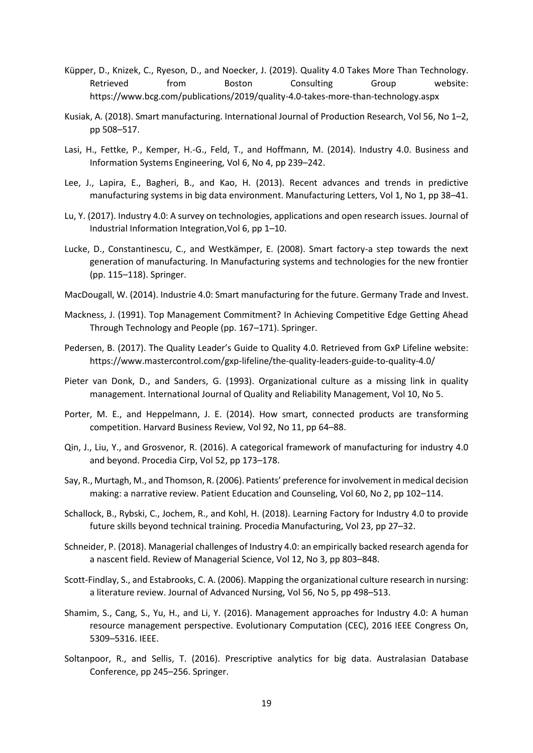- Küpper, D., Knizek, C., Ryeson, D., and Noecker, J. (2019). Quality 4.0 Takes More Than Technology. Retrieved from Boston Consulting Group website: https://www.bcg.com/publications/2019/quality-4.0-takes-more-than-technology.aspx
- Kusiak, A. (2018). Smart manufacturing. International Journal of Production Research, Vol 56, No 1–2, pp 508–517.
- Lasi, H., Fettke, P., Kemper, H.-G., Feld, T., and Hoffmann, M. (2014). Industry 4.0. Business and Information Systems Engineering, Vol 6, No 4, pp 239–242.
- Lee, J., Lapira, E., Bagheri, B., and Kao, H. (2013). Recent advances and trends in predictive manufacturing systems in big data environment. Manufacturing Letters, Vol 1, No 1, pp 38–41.
- Lu, Y. (2017). Industry 4.0: A survey on technologies, applications and open research issues. Journal of Industrial Information Integration,Vol 6, pp 1–10.
- Lucke, D., Constantinescu, C., and Westkämper, E. (2008). Smart factory-a step towards the next generation of manufacturing. In Manufacturing systems and technologies for the new frontier (pp. 115–118). Springer.
- MacDougall, W. (2014). Industrie 4.0: Smart manufacturing for the future. Germany Trade and Invest.
- Mackness, J. (1991). Top Management Commitment? In Achieving Competitive Edge Getting Ahead Through Technology and People (pp. 167–171). Springer.
- Pedersen, B. (2017). The Quality Leader's Guide to Quality 4.0. Retrieved from GxP Lifeline website: https://www.mastercontrol.com/gxp-lifeline/the-quality-leaders-guide-to-quality-4.0/
- Pieter van Donk, D., and Sanders, G. (1993). Organizational culture as a missing link in quality management. International Journal of Quality and Reliability Management, Vol 10, No 5.
- Porter, M. E., and Heppelmann, J. E. (2014). How smart, connected products are transforming competition. Harvard Business Review, Vol 92, No 11, pp 64–88.
- Qin, J., Liu, Y., and Grosvenor, R. (2016). A categorical framework of manufacturing for industry 4.0 and beyond. Procedia Cirp, Vol 52, pp 173–178.
- Say, R., Murtagh, M., and Thomson, R. (2006). Patients' preference for involvement in medical decision making: a narrative review. Patient Education and Counseling, Vol 60, No 2, pp 102–114.
- Schallock, B., Rybski, C., Jochem, R., and Kohl, H. (2018). Learning Factory for Industry 4.0 to provide future skills beyond technical training. Procedia Manufacturing, Vol 23, pp 27–32.
- Schneider, P. (2018). Managerial challenges of Industry 4.0: an empirically backed research agenda for a nascent field. Review of Managerial Science, Vol 12, No 3, pp 803–848.
- Scott-Findlay, S., and Estabrooks, C. A. (2006). Mapping the organizational culture research in nursing: a literature review. Journal of Advanced Nursing, Vol 56, No 5, pp 498–513.
- Shamim, S., Cang, S., Yu, H., and Li, Y. (2016). Management approaches for Industry 4.0: A human resource management perspective. Evolutionary Computation (CEC), 2016 IEEE Congress On, 5309–5316. IEEE.
- Soltanpoor, R., and Sellis, T. (2016). Prescriptive analytics for big data. Australasian Database Conference, pp 245–256. Springer.